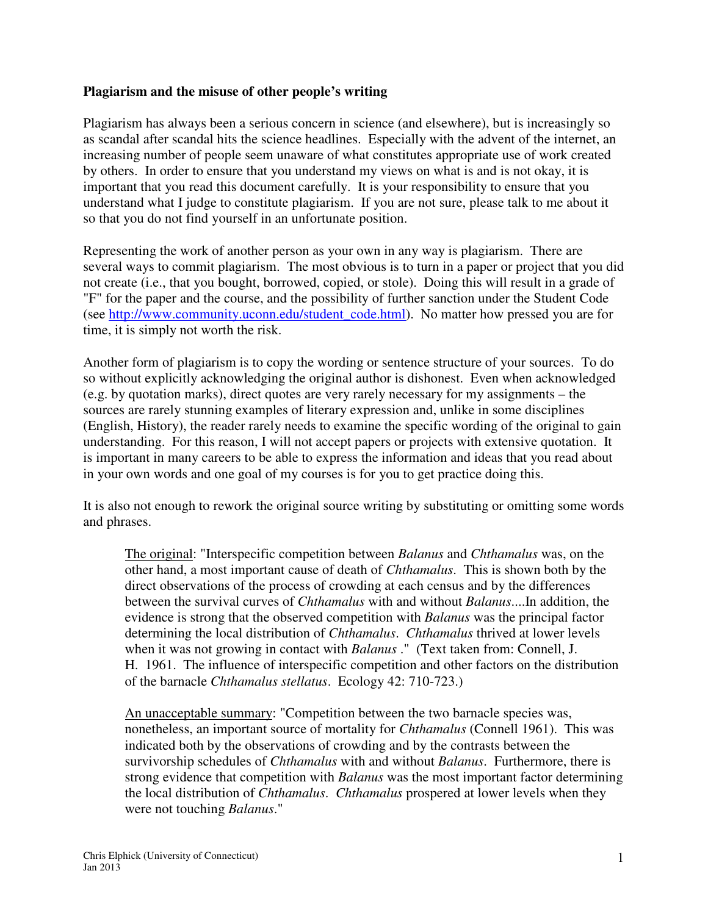## **Plagiarism and the misuse of other people's writing**

Plagiarism has always been a serious concern in science (and elsewhere), but is increasingly so as scandal after scandal hits the science headlines. Especially with the advent of the internet, an increasing number of people seem unaware of what constitutes appropriate use of work created by others. In order to ensure that you understand my views on what is and is not okay, it is important that you read this document carefully. It is your responsibility to ensure that you understand what I judge to constitute plagiarism. If you are not sure, please talk to me about it so that you do not find yourself in an unfortunate position.

Representing the work of another person as your own in any way is plagiarism. There are several ways to commit plagiarism. The most obvious is to turn in a paper or project that you did not create (i.e., that you bought, borrowed, copied, or stole). Doing this will result in a grade of "F" for the paper and the course, and the possibility of further sanction under the Student Code (see http://www.community.uconn.edu/student\_code.html). No matter how pressed you are for time, it is simply not worth the risk.

Another form of plagiarism is to copy the wording or sentence structure of your sources. To do so without explicitly acknowledging the original author is dishonest. Even when acknowledged (e.g. by quotation marks), direct quotes are very rarely necessary for my assignments – the sources are rarely stunning examples of literary expression and, unlike in some disciplines (English, History), the reader rarely needs to examine the specific wording of the original to gain understanding. For this reason, I will not accept papers or projects with extensive quotation. It is important in many careers to be able to express the information and ideas that you read about in your own words and one goal of my courses is for you to get practice doing this.

It is also not enough to rework the original source writing by substituting or omitting some words and phrases.

The original: "Interspecific competition between *Balanus* and *Chthamalus* was, on the other hand, a most important cause of death of *Chthamalus*. This is shown both by the direct observations of the process of crowding at each census and by the differences between the survival curves of *Chthamalus* with and without *Balanus*....In addition, the evidence is strong that the observed competition with *Balanus* was the principal factor determining the local distribution of *Chthamalus*. *Chthamalus* thrived at lower levels when it was not growing in contact with *Balanus* ." (Text taken from: Connell, J. H. 1961. The influence of interspecific competition and other factors on the distribution of the barnacle *Chthamalus stellatus*. Ecology 42: 710-723.)

An unacceptable summary: "Competition between the two barnacle species was, nonetheless, an important source of mortality for *Chthamalus* (Connell 1961). This was indicated both by the observations of crowding and by the contrasts between the survivorship schedules of *Chthamalus* with and without *Balanus*. Furthermore, there is strong evidence that competition with *Balanus* was the most important factor determining the local distribution of *Chthamalus*. *Chthamalus* prospered at lower levels when they were not touching *Balanus*."